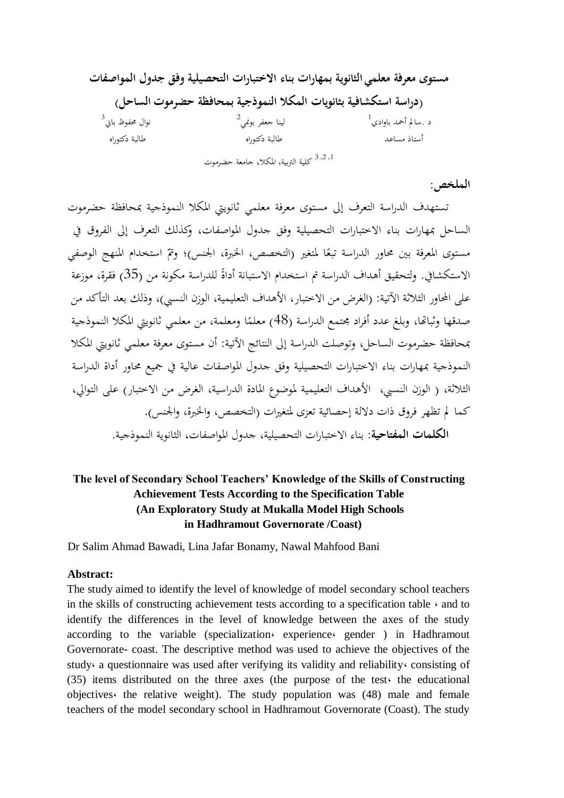## **مستوى معرفة معلمي الثانوية بمهارات بناء االختبارات التحصيلية وفق جدول المواصفات (دراسة استكشافية بثانويات المكال النموذجية بمحافظة حضرموت الساحل(** د .سالم أحمد باوادي<sup>1</sup> لينا جعفر بونمي<sup>2</sup> نوال حمفوظ باين 3 أستاذ مساعد طالبة دكتوراه طالبة دكتوراه <sup>1، 2، 3</sup> كلية التربية، المكلا، جامعة حضر*موت*

## **الملخص:**

تستهدف الدراسة التعرف إىل مستوى معرفة معلمي ثانوييت املكال النموذجية مبحافظة حضرموت الساحل مبهارات بناء االختبارات التحصيلية وفق جدول املواصفات، وكذلك التعرف إىل الفروق يف مستوى المعرفة بين محاور الدراسة تبعًا لمتغير (التخصص، الخبرة، الجنس)؛ وتمّ استخدام المنهج الوصفي ً الاستكشافي. ولتحقيق أهداف الدراسة تم استخدام الاستبانة أداةً للدراسة مكونة من (35) فقرة، موزعة على المحاور الثلاثة الآتية: (الغرض من الاختبار، الأهداف التعليمية، الوزن النسبي)، وذلك بعد التأكد من صدقها وثباتما، وبلغ عدد أفراد مجتمع الدراسة (48) معلمًا ومعلمة، من معلمي ثانويتي المكلا النموذجية مبحافظة حضرموت الساحل، وتوصلت الدراسة إىل النتائج اآلتية: أن مستوى معرفة معلمي ثانوييت املكال النموذجية مبهارات بناء االختبارات التحصيلية وفق جدول املواصفات عالية يف مجيع حماور أداة الدراسة الثلاثة، ( الوزن النسبي، الأهداف التعليمية لموضوع المادة الدراسية، الغرض من الاختبار) على التوالي، كما مل تظهر فروق ذات داللة إحصائية تعزى ملتغريات )التخصص، واخلربة، واجلنس(. **الكلمات المفتاحية**: بناء االختبارات التحصيلية، جدول املواصفات، الثانوية النموذجية.

## **The level of Secondary School Teachers' Knowledge of the Skills of Constructing Achievement Tests According to the Specification Table (An Exploratory Study at Mukalla Model High Schools in Hadhramout Governorate /Coast)**

Dr Salim Ahmad Bawadi, Lina Jafar Bonamy, Nawal Mahfood Bani

## **Abstract:**

The study aimed to identify the level of knowledge of model secondary school teachers in the skills of constructing achievement tests according to a specification table  $\cdot$  and to identify the differences in the level of knowledge between the axes of the study according to the variable (specialization، experience، gender ) in Hadhramout Governorate- coast. The descriptive method was used to achieve the objectives of the study، a questionnaire was used after verifying its validity and reliability، consisting of (35) items distributed on the three axes (the purpose of the test the educational objectives، the relative weight). The study population was (48) male and female teachers of the model secondary school in Hadhramout Governorate (Coast). The study